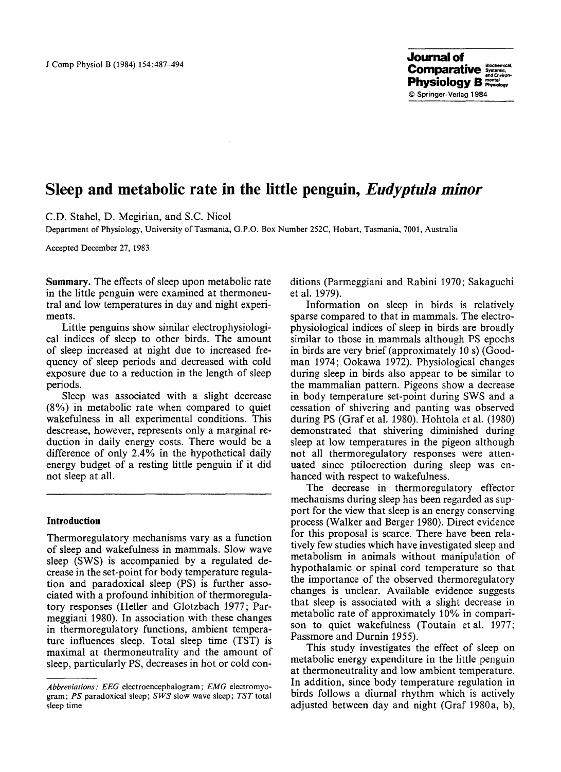# **Sleep and metabolic rate in the little penguin,** *Eudyptula minor*

C.D. Stahel, D. Megirian, and S.C. Nicol

Department of Physiology, University of Tasmania, G.P.O. Box Number 252C, Hobart, Tasmania, 7001, Australia

Accepted December 27, 1983

**Summary.** The effects of sleep upon metabolic rate in the little penguin were examined at thermoneutral and low temperatures in day and night experiments.

Little penguins show similar electrophysiological indices of sleep to other birds. The amount of sleep increased at night due to increased frequency of sleep periods and decreased with cold exposure due to a reduction in the length of sleep periods.

Sleep was associated with a slight decrease (8%) in metabolic rate when compared to quiet wakefulness in all experimental conditions. This descrease, however, represents only a marginal reduction in daily energy costs. There would be a difference of only 2.4% in the hypothetical daily energy budget of a resting little penguin if it did not sleep at all.

#### **Introduction**

Thermoregulatory mechanisms vary as a function of sleep and wakefulness in mammals. Slow wave sleep (SWS) is accompanied by a regulated decrease in the set-point for body temperature regulation and paradoxical sleep (PS) is further associated with a profound inhibition of thermoregulatory responses (Heller and Glotzbach 1977; Parmeggiani 1980). In association with these changes in thermoregulatory functions, ambient temperature influences sleep. Total sleep time (TST) is maximal at thermoneutrality and the amount of sleep, particularly PS, decreases in hot or cold conditions (Parmeggiani and Rabini 1970; Sakaguchi et al. 1979).

Information on sleep in birds is relatively sparse compared to that in mammals. The electrophysiological indices of sleep in birds are broadly similar to those in mammals although PS epochs in birds are very brief (approximately 10 s) (Goodman 1974; Ookawa 1972). Physiological changes during sleep in birds also appear to be similar to the mammalian pattern. Pigeons show a decrease in body temperature set-point during SWS and a cessation of shivering and panting was observed during PS (Graf et al. 1980). Hohtola et al. (1980) demonstrated that shivering diminished during sleep at low temperatures in the pigeon although not all thermoregulatory responses were attenuated since ptiloerection during sleep was enhanced with respect to wakefulness.

The decrease in thermoregulatory effector mechanisms during sleep has been regarded as support for the view that sleep is an energy conserving process (Walker and Berger 1980). Direct evidence for this proposal is scarce. There have been relatively few studies which have investigated sleep and metabolism in animals without manipulation of hypothalamic or spinal cord temperature so that the importance of the observed thermoregulatory changes is unclear. Available evidence suggests that sleep is associated with a slight decrease in metabolic rate of approximately 10% in comparison to quiet wakefulness (Toutain etal. 1977; Passmore and Durnin 1955).

This study investigates the effect of sleep on metabolic energy expenditure in the little penguin at thermoneutrality and low ambient temperature. In addition, since body temperature regulation in birds follows a diurnal rhythm which is actively adjusted between day and night (Graf 1980a, b),

*Abbreviations: EEG* electroencephalogram; *EMG* electromyogram; *PS* paradoxical sleep; *SWS* slow wave sleep; *TST* total sleep time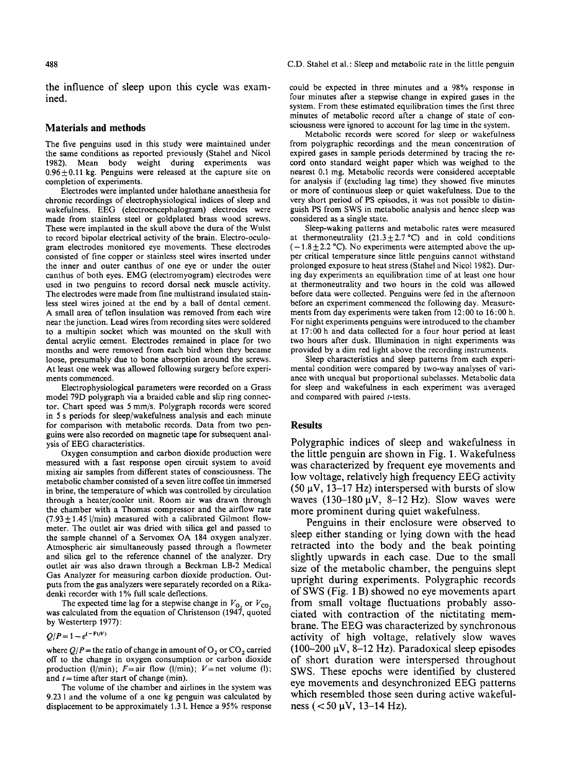the influence of sleep upon this cycle was examined.

#### **Materials and methods**

The five penguins used in this study were maintained under the same conditions as reported previously (Stahel and Nicol 1982). Mean body weight during experiments was  $0.96 \pm 0.11$  kg. Penguins were released at the capture site on completion of experiments.

Electrodes were implanted under halothane anaesthesia for chronic recordings of electrophysiological indices of sleep and wakefulness. EEG (electroencephalogram) electrodes were made from stainless steel or goldplated brass wood screws. These were implanted in the skull above the dura of the Wulst to record bipolar electrical activity of the brain. Electro-oculogram electrodes monitored eye movements. These electrodes consisted of fine copper or stainless steel wires inserted under the inner and outer canthus of one eye or under the outer canthus of both eyes. EMG (electromyogram) electrodes were used in two penguins to record dorsal neck muscle activity. The electrodes were made from fine multistrand insulated stainless steel wires joined at the end by a ball of dental cement. A small area of teflon insulation was removed from each wire near the junction. Lead wires from recording sites were soldered to a multipin socket which was mounted on the skull with dental acrylic cement. Electrodes remained in place for two months and were removed from each bird when they became loose, presumably due to bone absorption around the screws. At least one week was allowed following surgery before experiments commenced.

Electrophysiological parameters were recorded on a Grass model 79D polygraph via a braided cable and slip ring connector. Chart speed was 5 mm/s. Polygraph records were scored in 5 s periods for sleep/wakefulness analysis and each minute for comparison with metabolic records. Data from two penguins were also recorded on magnetic tape for subsequent analysis of EEG characteristics.

Oxygen consumption and carbon dioxide production were measured with a fast response open circuit system to avoid mixing air samples from different states of consciousness. The metabolic chamber consisted of a seven litre coffee tin immersed in brine, the temperature of which was controlled by circulation through a heater/cooler unit. Room air was drawn through the chamber with a Thomas compressor and the airflow rate  $(7.93 \pm 1.45 \frac{1}{\text{min}})$  measured with a calibrated Gilmont flowmeter. The outlet air was dried with silica gel and passed to the sample channel of a Servomex OA 184 oxygen analyzer. Atmospheric air simultaneously passed through a flowmeter and silica gel to the reference channel of the analyzer. Dry outlet air was also drawn through a Beckman LB-2 Medical Gas Analyzer for measuring carbon dioxide production. Outputs from the gas analyzers were separately recorded on a Rikadenki recorder with 1% full scale deflections.

The expected time lag for a stepwise change in  $V_{\text{O}_2}$  or  $V_{\text{CO}_2}$ . was calculated from the equation of Christenson (1947, quoted by Westerterp 1977):

$$
Q/P = 1 - e^{(-Ft/V)}
$$

where  $Q/P$  = the ratio of change in amount of  $O_2$  or CO<sub>2</sub> carried off to the change in oxygen consumption or carbon dioxide production (l/min);  $F = \text{air flow (l/min)}$ ;  $V = \text{net volume (l)}$ ; and  $t =$  time after start of change (min).

The volume of the chamber and airlines in the system was 9.23 1 and the volume of a one kg penguin was calculated by displacement to be approximately 1.3 1. Hence a 95% response could be expected in three minutes and a 98% response in four minutes after a stepwise change in expired gases in the system. From these estimated equilibration times the first three minutes of metabolic record after a change of state of consciousness were ignored to account for lag time in the system.

Metabolic records were scored for sleep or wakefulness from polygraphic recordings and the mean concentration of expired gases in sample periods determined by tracing the record onto standard weight paper which was weighed to the nearest 0.1 mg. Metabolic records were considered acceptable for analysis if (excluding lag time) they showed five minutes or more of continuous sleep or quiet wakefulness. Due to the very short period of PS episodes, it was not possible to distinguish PS from SWS in metabolic analysis and hence sleep was considered as a single state.

Sleep-waking patterns and metabolic rates were measured at thermoneutrality  $(21.3 \pm 2.7 \degree C)$  and in cold conditions  $(-1.8 \pm 2.2 \text{ °C})$ . No experiments were attempted above the upper critical temperature since little penguins cannot withstand prolonged exposure to heat stress (Stahel and Nicol 1982). During day experiments an equilibration time of at least one hour at thermoneutrality and two hours in the cold was allowed before data were collected. Penguins were fed in the afternoon before an experiment commenced the following day. Measurements from day experiments were taken from 12:00 to 16:00 h. For night experiments penguins were introduced to the chamber at 17:00 h and data collected for a four hour period at least two hours after dusk. Illumination in night experiments was provided by a dim red light above the recording instruments.

Sleep characteristics and sleep patterns from each experimental condition were compared by two-way analyses of variance with unequal but proportional subclasses. Metabolic data for sleep and wakefulness in each experiment was averaged and compared with paired  $t$ -tests.

#### **Results**

Polygraphic indices of sleep and wakefulness in the little penguin are shown in Fig. 1. Wakefulness was characterized by frequent eye movements and low voltage, relatively high frequency EEG activity (50  $\mu$ V, 13–17 Hz) interspersed with bursts of slow waves  $(130-180 \,\mu\text{V}, 8-12 \,\text{Hz})$ . Slow waves were more prominent during quiet wakefulness.

Penguins in their enclosure were observed to sleep either standing or lying down with the head retracted into the body and the beak pointing slightly upwards in each case. Due to the small size of the metabolic chamber, the penguins slept upright during experiments. Polygraphic records of SWS (Fig. 1 B) showed no eye movements apart from small voltage fluctuations probably associated with contraction of the nictitating membrane. The EEG was characterized by synchronous activity of high voltage, relatively slow waves  $(100-200 \,\mu\text{V}, 8-12 \,\text{Hz})$ . Paradoxical sleep episodes of short duration were interspersed throughout SWS. These epochs were identified by clustered eye movements and desynchronized EEG patterns which resembled those seen during active wakefulness ( $<$  50  $\mu$ V, 13-14 Hz).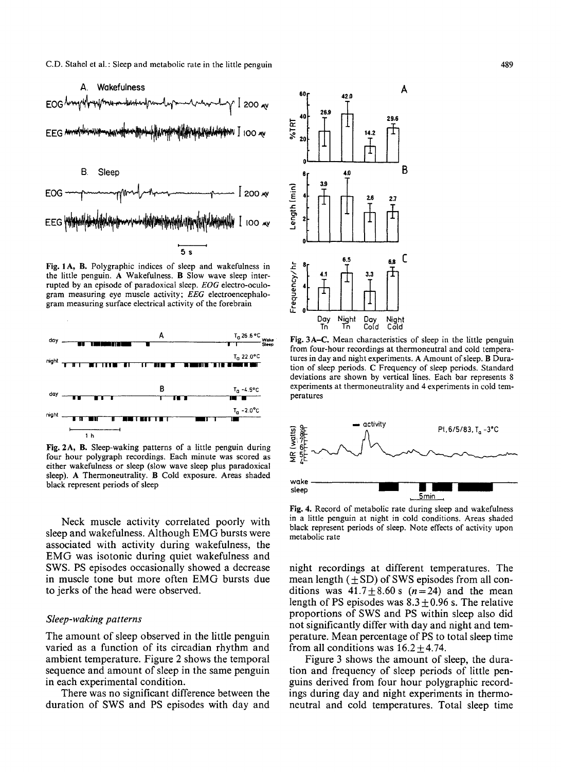C.D. Stahel et al. : Sleep and metabolic rate in the little penguin 489



Fig. 1 A, B. Polygraphic indices of sleep and wakefulness in the little penguin. A Wakefulness. B Slow wave sleep interrupted by an episode of paradoxical sleep. *EOG* electro-oculogram measuring eye muscle activity; *EEG* electroencephalogram measuring surface electrical activity of the forebrain



Fig. 2A, B. Sleep-waking patterns of a little penguin during four hour polygraph recordings. Each minute was scored as either wakefulness or sleep (slow wave sleep plus paradoxical sleep). A Thermoneutrality. B Cold exposure. Areas shaded black represent periods of sleep

Neck muscle activity correlated poorly with sleep and wakefulness. Although EMG bursts were associated with activity during wakefulness, the EMG was isotonic during quiet wakefulness and SWS. PS episodes occasionally showed a decrease in muscle tone but more often EMG bursts due to jerks of the head were observed.

# *Sleep-waking patterns*

The amount of sleep observed in the little penguin varied as a function of its circadian rhythm and ambient temperature. Figure 2 shows the temporal sequence and amount of sleep in the same penguin in each experimental condition.

There was no significant difference between the duration of SWS and PS episodes with day and



Fig. 3A-C. Mean characteristics of sleep in the little penguin from four-hour recordings at thermoneutral and cold temperatures in day and night experiments. A Amount of sleep. B Duration of sleep periods. C Frequency of sleep periods. Standard deviations are shown by vertical lines. Each bar represents 8 experiments at thermoneutrality and 4 experiments in cold temperatures



Fig. 4. Record of metabolic rate during sleep and wakefulness in a little penguin at night in cold conditions. Areas shaded black represent periods of sleep. Note effects of activity upon metabolic rate

night recordings at different temperatures. The mean length  $(\pm SD)$  of SWS episodes from all conditions was  $41.7 \pm 8.60$  s (n=24) and the mean length of PS episodes was  $8.3 + 0.96$  s. The relative proportions of SWS and PS within sleep also did not significantly differ with day and night and temperature. Mean percentage of PS to total sleep time from all conditions was  $16.2 \pm 4.74$ .

Figure 3 shows the amount of sleep, the duration and frequency of sleep periods of little penguins derived from four hour polygraphic recordings during day and night experiments in thermoneutral and cold temperatures. Total sleep time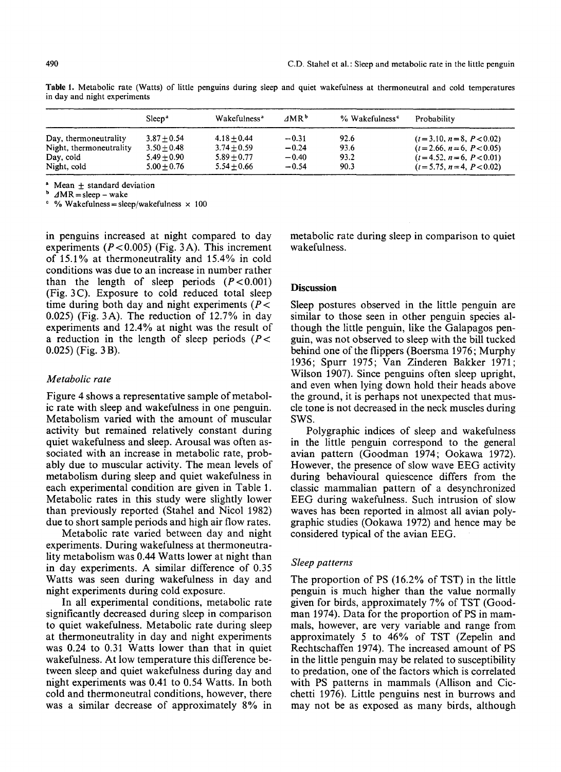|                         | Sleep <sup>a</sup> | Wakefulness <sup>a</sup> | $\triangle M$ R <sup>b</sup> | % Wakefulness <sup>e</sup> | Probability                   |
|-------------------------|--------------------|--------------------------|------------------------------|----------------------------|-------------------------------|
| Day, thermoneutrality   | $3.87 + 0.54$      | $4.18 + 0.44$            | $-0.31$                      | 92.6                       | $(t=3.10, n=8, P<0.02)$       |
| Night, thermoneutrality | $3.50 + 0.48$      | $3.74 + 0.59$            | $-0.24$                      | 93.6                       | $(t=2.66, n=6, P<0.05)$       |
| Day, cold               | $5.49 + 0.90$      | $5.89 + 0.77$            | $-0.40$                      | 93.2                       | $(t=4.52, n=6, P<0.01)$       |
| Night, cold             | $5.00 + 0.76$      | $5.54 + 0.66$            | $-0.54$                      | 90.3                       | $(t = 5.75, n = 4, P < 0.02)$ |

Table 1. Metabolic rate (Watts) of little penguins during sleep and quiet wakefulness at thermoneutral and cold temperatures in day and night experiments

 $Mean \pm standard deviation$ 

 $\Delta MR$  = sleep – wake

 $\degree$  % Wakefulness = sleep/wakefulness  $\times$  100

in penguins increased at night compared to day experiments  $(P<0.005)$  (Fig. 3A). This increment of 15.1% at thermoneutrality and 15.4% in cold conditions was due to an increase in number rather than the length of sleep periods  $(P<0.001)$ (Fig. 3C). Exposure to cold reduced total sleep time during both day and night experiments ( $P <$ 0.025) (Fig. 3A). The reduction of 12.7% in day experiments and 12.4% at night was the result of a reduction in the length of sleep periods ( $P$  < 0.025) (Fig. 3 B).

# *Metabolic rate*

Figure 4 shows a representative sample of metabolic rate with sleep and wakefulness in one penguin. Metabolism varied with the amount of muscular activity but remained relatively constant during quiet wakefulness and sleep. Arousal was often associated with an increase in metabolic rate, probably due to muscular activity. The mean levels of metabolism during sleep and quiet wakefulness in each experimental condition are given in Table 1. Metabolic rates in this study were slightly lower than previously reported (Stahel and Nicol 1982) due to short sample periods and high air flow rates.

Metabolic rate varied between day and night experiments. During wakefulness at thermoneutrality metabolism was 0.44 Watts lower at night than in day experiments. A similar difference of 0.35 Watts was seen during wakefulness in day and night experiments during cold exposure.

In all experimental conditions, metabolic rate significantly decreased during sleep in comparison to quiet wakefulness. Metabolic rate during sleep at thermoneutrality in day and night experiments was 0.24 to 0.31 Watts lower than that in quiet wakefulness. At low temperature this difference between sleep and quiet wakefulness during day and night experiments was 0.41 to 0.54 Watts. In both cold and thermoneutral conditions, however, there was a similar decrease of approximately 8% in

metabolic rate during sleep in comparison to quiet wakefulness.

# **Discussion**

Sleep postures observed in the little penguin are similar to those seen in other penguin species although the little penguin, like the Galapagos penguin, was not observed to sleep with the bill tucked behind one of the flippers (Boersma 1976; Murphy 1936; Spurr 1975; Van Zinderen Bakker 1971; Wilson 1907). Since penguins often sleep upright, and even when lying down hold their heads above the ground, it is perhaps not unexpected that muscle tone is not decreased in the neck muscles during SWS.

Polygraphic indices of sleep and wakefulness in the little penguin correspond to the general avian pattern (Goodman 1974; Ookawa 1972). However, the presence of slow wave EEG activity during behavioural quiescence differs from the classic mammalian pattern of a desynchronized EEG during wakefulness. Such intrusion of slow waves has been reported in almost all avian polygraphic studies (Ookawa 1972) and hence may be considered typical of the avian EEG.

#### *Sleep patterns*

The proportion of PS (16.2% of TST) in the little penguin is much higher than the value normally given for birds, approximately 7% of TST (Goodman 1974). Data for the proportion of PS in mammals, however, are very variable and range from approximately 5 to 46% of TST (Zepelin and Rechtschaffen 1974). The increased amount of PS in the little penguin may be related to susceptibility to predation, one of the factors which is correlated with PS patterns in mammals (Allison and Cicchetti 1976). Little penguins nest in burrows and may not be as exposed as many birds, although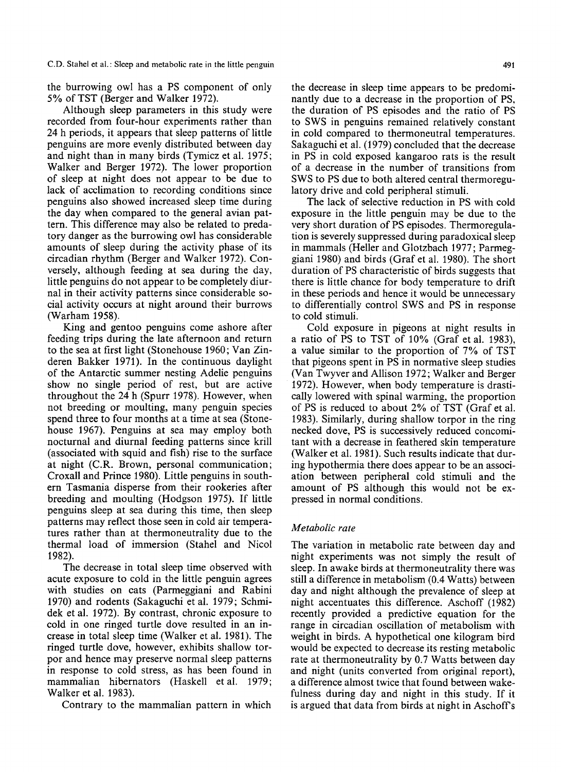C.D. Stahel et al. : Sleep and metabolic rate in the little penguin 491

the burrowing owl has a PS component of only 5% of TST (Berger and Walker 1972).

Although sleep parameters in this study were recorded from four-hour experiments rather than 24 h periods, it appears that sleep patterns of little penguins are more evenly distributed between day and night than in many birds (Tymicz et al. 1975; Walker and Berger 1972). The lower proportion of sleep at night does not appear to be due to lack of acclimation to recording conditions since penguins also showed increased sleep time during the day when compared to the general avian pattern. This difference may also be related to predatory danger as the burrowing owl has considerable amounts of sleep during the activity phase of its circadian rhythm (Berger and Walker 1972). Conversely, although feeding at sea during the day, little penguins do not appear to be completely diurnal in their activity patterns since considerable social activity occurs at night around their burrows (Warham 1958).

King and gentoo penguins come ashore after feeding trips during the late afternoon and return to the sea at first light (Stonehouse 1960; Van Zinderen Bakker 1971). In the continuous daylight of the Antarctic summer nesting Adelie penguins show no single period of rest, but are active throughout the 24 h (Spurr 1978). However, when not breeding or moulting, many penguin species spend three to four months at a time at sea (Stonehouse 1967). Penguins at sea may employ both nocturnal and diurnal feeding patterns since krill (associated with squid and fish) rise to the surface at night (C.R. Brown, personal communication; Croxall and Prince 1980). Little penguins in southern Tasmania disperse from their rookeries after breeding and moulting (Hodgson 1975). If little penguins sleep at sea during this time, then sleep patterns may reflect those seen in cold air temperatures rather than at thermoneutrality due to the thermal load of immersion (Stahel and Nicol 1982).

The decrease in total sleep time observed with acute exposure to cold in the little penguin agrees with studies on cats (Parmeggiani and Rabini 1970) and rodents (Sakaguchi et al. 1979; Schmidek et al. 1972). By contrast, chronic exposure to cold in one ringed turtle dove resulted in an increase in total sleep time (Walker et al. 1981). The ringed turtle dove, however, exhibits shallow torpor and hence may preserve normal sleep patterns in response to cold stress, as has been found in mammalian hibernators (Haskell etal. 1979; Walker et al. 1983).

Contrary to the mammalian pattern in which

the decrease in sleep time appears to be predominantly due to a decrease in the proportion of PS, the duration of PS episodes and the ratio of PS to SWS in penguins remained relatively constant in cold compared to thermoneutral temperatures. Sakaguchi et al. (1979) concluded that the decrease in PS in cold exposed kangaroo rats is the result of a decrease in the number of transitions from SWS to PS due to both altered central thermoregulatory drive and cold peripheral stimuli.

The lack of selective reduction in PS with cold exposure in the little penguin may be due to the very short duration of PS episodes. Thermoregulation is severely suppressed during paradoxical sleep in mammals (Heller and Glotzbach 1977; Parmeggiani 1980) and birds (Graf et al. 1980). The short duration of PS characteristic of birds suggests that there is little chance for body temperature to drift in these periods and hence it would be unnecessary to differentially control SWS and PS in response to cold stimuli.

Cold exposure in pigeons at night results in a ratio of PS to TST of 10% (Graf et al. 1983), a value similar to the proportion of 7% of TST that pigeons spent in PS in normative sleep studies (Van Twyver and Allison 1972; Walker and Berger 1972). However, when body temperature is drastically lowered with spinal warming, the proportion of PS is reduced to about 2% of TST (Graf et al. 1983). Similarly, during shallow torpor in the ring necked dove, PS is successively reduced concomitant with a decrease in feathered skin temperature (Walker et al. 1981). Such results indicate that during hypothermia there does appear to be an association between peripheral cold stimuli and the amount of PS although this would not be expressed in normal conditions.

### *Metabolic rate*

The variation in metabolic rate between day and night experiments was not simply the result of sleep. In awake birds at thermoneutrality there was still a difference in metabolism (0.4 Watts) between day and night although the prevalence of sleep at night accentuates this difference. Aschoff (1982) recently provided a predictive equation for the range in circadian oscillation of metabolism with weight in birds. A hypothetical one kilogram bird would be expected to decrease its resting metabolic rate at thermoneutrality by 0.7 Watts between day and night (units converted from original report), a difference almost twice that found between wakefulness during day and night in this study. If it is argued that data from birds at night in Aschoffs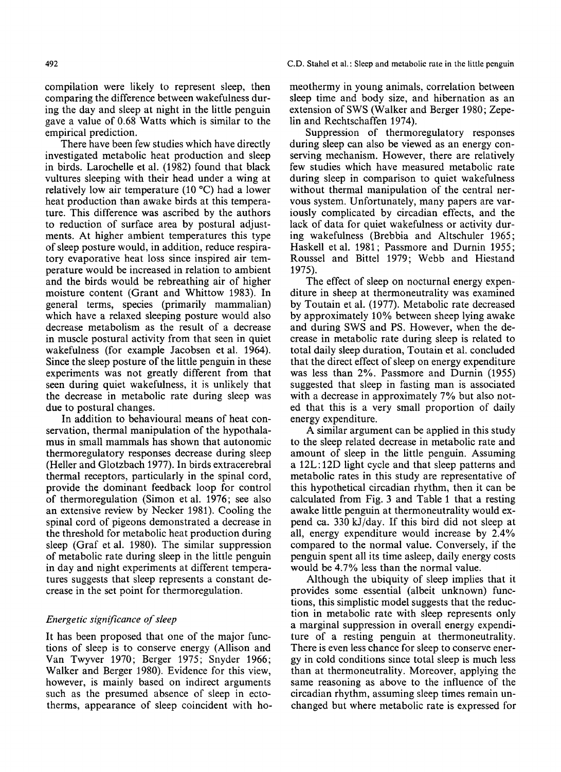492 C.D. Stahel et al. : Sleep and metabolic rate in the little penguin

compilation were likely to represent sleep, then comparing the difference between wakefulness during the day and sleep at night in the little penguin gave a value of 0.68 Watts which is similar to the empirical prediction.

There have been few studies which have directly investigated metabolic heat production and sleep in birds. Larochelle et al. (1982) found that black vultures sleeping with their head under a wing at relatively low air temperature (10  $^{\circ}$ C) had a lower heat production than awake birds at this temperature. This difference was ascribed by the authors to reduction of surface area by postural adjustments. At higher ambient temperatures this type of sleep posture would, in addition, reduce respiratory evaporative heat loss since inspired air temperature would be increased in relation to ambient and the birds would be rebreathing air of higher moisture content (Grant and Whittow 1983). In general terms, species (primarily mammalian) which have a relaxed sleeping posture would also decrease metabolism as the result of a decrease in muscle postural activity from that seen in quiet wakefulness (for example Jacobsen et al. 1964). Since the sleep posture of the little penguin in these experiments was not greatly different from that seen during quiet wakefulness, it is unlikely that the decrease in metabolic rate during sleep was due to postural changes.

In addition to behavioural means of heat conservation, thermal manipulation of the hypothalamus in small mammals has shown that autonomic thermoregulatory responses decrease during sleep (Heller and Glotzbach 1977). In birds extracerebral thermal receptors, particularly in the spinal cord, provide the dominant feedback loop for control of thermoregulation (Simon et al. 1976; see also an extensive review by Necker 1981). Cooling the spinal cord of pigeons demonstrated a decrease in the threshold for metabolic heat production during sleep (Graf et al. 1980). The similar suppression of metabolic rate during sleep in the little penguin in day and night experiments at different temperatures suggests that sleep represents a constant decrease in the set point for thermoregulation.

# *Energetic significance of sleep*

It has been proposed that one of the major functions of sleep is to conserve energy (Allison and Van Twyver 1970; Berger 1975; Snyder 1966; Walker and Berger 1980). Evidence for this view, however, is mainly based on indirect arguments such as the presumed absence of sleep in ectotherms, appearance of sleep coincident with homeothermy in young animals, correlation between sleep time and body size, and hibernation as an extension of SWS (Walker and Berger 1980; Zepelin and Rechtschaffen 1974).

Suppression of thermoregulatory responses during sleep can also be viewed as an energy conserving mechanism. However, there are relatively few studies which have measured metabolic rate during sleep in comparison to quiet wakefulness without thermal manipulation of the central nervous system. Unfortunately, many papers are variously complicated by circadian effects, and the lack of data for quiet wakefulness or activity during wakefulness (Brebbia and Altschuler 1965; Haskell et al. 1981; Passmore and Durnin 1955; Roussel and Bittel 1979; Webb and Hiestand 1975).

The effect of sleep on nocturnal energy expenditure in sheep at thermoneutrality was examined by Toutain et al. (1977). Metabolic rate decreased by approximately 10% between sheep lying awake and during SWS and PS. However, when the decrease in metabolic rate during sleep is related to total daily sleep duration, Toutain et al. concluded that the direct effect of sleep on energy expenditure was less than 2%. Passmore and Durnin (1955) suggested that sleep in fasting man is associated with a decrease in approximately 7% but also noted that this is a very small proportion of daily energy expenditure.

A similar argument can be applied in this study to the sleep related decrease in metabolic rate and amount of sleep in the little penguin. Assuming a 12L: 12D light cycle and that sleep patterns and metabolic rates in this study are representative of this hypothetical circadian rhythm, then it can be calculated from Fig. 3 and Table 1 that a resting awake little penguin at thermoneutrality would expend ca. 330 kJ/day. If this bird did not sleep at all, energy expenditure would increase by 2.4% compared to the normal value. Conversely, if the penguin spent all its time asleep, daily energy costs would be 4.7% less than the normal value.

Although the ubiquity of sleep implies that it provides some essential (albeit unknown) functions, this simplistic model suggests that the reduction in metabolic rate with sleep represents only a marginal suppression in overall energy expenditure of a resting penguin at thermoneutrality. There is even less chance for sleep to conserve energy in cold conditions since total sleep is much less than at thermoneutrality. Moreover, applying the same reasoning as above to the influence of the circadian rhythm, assuming sleep times remain unchanged but where metabolic rate is expressed for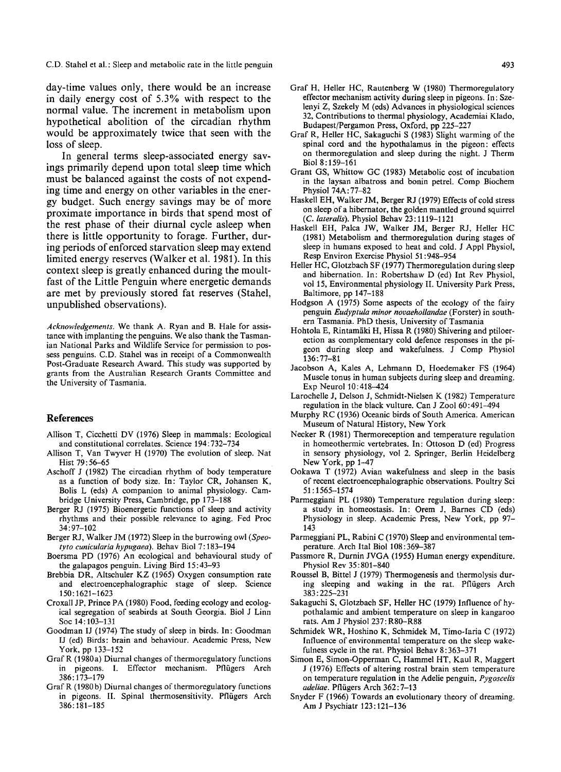C.D. Stahel et al.: Sleep and metabolic rate in the little penguin 493

day-time values only, there would be an increase in daily energy cost of 5.3% with respect to the normal value. The increment in metabolism upon hypothetical abolition of the circadian rhythm would be approximately twice that seen with the loss of sleep.

In general terms sleep-associated energy savings primarily depend upon total sleep time which must be balanced against the costs of not expending time and energy on other variables in the energy budget. Such energy savings may be of more proximate importance in birds that spend most of the rest phase of their diurnal cycle asleep when there is little opportunity to forage. Further, during periods of enforced starvation sleep may extend limited energy reserves (Walker et al. 1981). In this context sleep is greatly enhanced during the moultfast of the Little Penguin where energetic demands are met by previously stored fat reserves (Stahel, unpublished observations).

*Acknowledgements.* We thank A. Ryan and B. Hale for assistance with implanting the penguins. We also thank the Tasmanian National Parks and Wildlife Service for permission to possess penguins. C.D. Stahel was in receipt of a Commonwealth Post-Graduate Research Award. This study was supported by grants from the Australian Research Grants Committee and the University of Tasmania.

#### **References**

- Allison T, Cicchetti DV (1976) Sleep in mammals: Ecological and constitutional correlates. Science 194:732-734
- Allison T, Van Twyver H (1970) The evolution of sleep. Nat Hist 79: 56-65
- Aschoff J (1982) The circadian rhythm of body temperature as a function of body size. In: Taylor CR, Johansen K, Bolis L (eds) A companion to animal physiology. Cambridge University Press, Cambridge, pp 173-188
- Berger RJ (1975) Bioenergetic functions of sleep and activity rhythms and their possible relevance to aging. Fed Proc 34: 97-102
- Berger RJ, Walker JM (1972) Sleep in the burrowing owl (Speo*tyto cunicularia hypugaea).* Behav Biol 7:183-194
- Boersma PD (1976) An ecological and behavioural study of the galapagos penguin. Living Bird 15:43-93
- Brebbia DR, Altschuler KZ (1965) Oxygen consumption rate and electroencephalographic stage of sleep. Science 150:1621-1623
- Croxall JP, Prince PA (1980) Food, feeding ecology and ecological segregation of seabirds at South Georgia. Biol J Linn Soc 14:103-131
- Goodman IJ (1974) The study of sleep in birds. In: Goodman IJ (ed) Birds: brain and behaviour. Academic Press, New York, pp 133-152
- Graf R (1980a) Diurnal changes of thermoregulatory functions<br>in pigeons. I. Effector mechanism. Pflügers Arch I. Effector mechanism. Pflügers Arch 386:173-179
- Graf R (1980 b) Diurnal changes of thermoregulatory functions in pigeons. II. Spinal thermosensitivity. Pflügers Arch 386:181-185
- Graf H, Heller HC, Rautenberg W (1980) Thermoregulatory effector mechanism activity during sleep in pigeons. In : Szelenyi Z, Szekely M (eds) Advances in physiological sciences 32, Contributions to thermal physiology, Academiai Klado, Budapest/Pergamon Press, Oxford, pp 225-227
- Graf R, Heller HC, Sakaguchi S (1983) Slight warming of the spinal cord and the hypothalamus in the pigeon: effects on thermoregulation and sleep during the night. J Therm Biol 8 : 159-161
- Grant GS, Whittow GC (1983) Metabolic cost of incubation in the laysan albatross and bonin petrel. Comp Biochem Physiol 74A: 77-82
- Haskell EH, Walker JM, Berger RJ (1979) Effects of cold stress on sleep of a hibernator, the golden mantled ground squirrel *(C. lateralis).* Physiol Behav 23 : 1119-1121
- Haskell EH, Palca JW, Walker JM, Berger RJ, Heller HC (1981) Metabolism and thermoregulation during stages of sleep in humans exposed to heat and cold. J Appl Physiol, Resp Environ Exercise Physiol 51:948-954
- Heller HC, Glotzbach SF (1977) Thermoregulation during sleep and hibernation. In: Robertshaw D (ed) Int Rev Physiol, vol 15, Environmental physiology II. University Park Press, Baltimore, pp 147-188
- Hodgson A (1975) Some aspects of the ecology of the fairy penguin *Eudyptula minor novaehollandae* (Forster) in southern Tasmania. PhD thesis, University of Tasmania
- Hohtola E, Rintamäki H, Hissa R (1980) Shivering and ptiloerection as complementary cold defence responses in the pigeon during sleep and wakefulness. J Comp Physiol 136:77-81
- Jacobson A, Kales A, Lehmann D, Hoedemaker FS (1964) Muscle tonus in human subjects during sleep and dreaming. Exp Neurol 10:418-424
- Larochelle J, Delson J, Schmidt-Nielsen K (1982) Temperature regulation in the black vulture. Can J Zool 60:491-494
- Murphy RC (1936) Oceanic birds of South America. American Museum of Natural History, New York
- Necker R (1981) Thermoreception and temperature regulation in homeothermic vertebrates. In: Ottoson D (ed) Progress in sensory physiology, vol 2. Springer, Berlin Heidelberg New York, pp 1-47
- Ookawa T (1972) Avian wakefulness and sleep in the basis of recent electroencephatographic observations. Poultry Sci 51 : 1565-1574
- Parmeggiani PL (1980) Temperature regulation during sleep: a study in homeostasis. In: Orem J, Barnes CD (eds) Physiology in sleep. Academic Press, New York, pp 97- 143
- Parmeggiani PL, Rabini C (1970) Sleep and environmental temperature. Arch Ital Biol 108:369-387
- Passmore R, Durnin JVGA (1955) Human energy expenditure. Physiol Rev 35:801-840
- Roussel B, Bittel J (1979) Thermogenesis and thermolysis during sleeping and waking in the rat. Pfliigers Arch 383 : 225-231
- Sakaguchi S, Glotzbach SF, Heller HC (1979) Influence of hypothalamic and ambient temperature on sleep in kangaroo rats. Am J Physiol 237:R80-R88
- Schmidek WR, Hoshino K, Schmidek M, Timo-laria C (1972) Influence of environmental temperature on the sleep wakefulness cycle in the rat. Physiol Behav 8:363-371
- Simon E, Simon-Opperman C, Hammel HT, Kaul R, Maggert J (1976) Effects of altering rostral brain stem temperature on temperature regulation in the Adelie penguin, *Pygoscelis adeliae.* Pfliigers Arch 362 : 7-13
- Snyder F (1966) Towards an evolutionary theory of dreaming. Am J Psychiatr 123 : 121-136